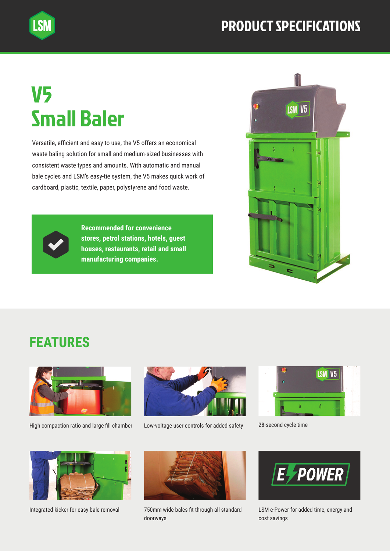## PRODUCT SPECIFICATIONS

## V5 Small Baler

**LSM** 

Versatile, efficient and easy to use, the V5 offers an economical waste baling solution for small and medium-sized businesses with consistent waste types and amounts. With automatic and manual bale cycles and LSM's easy-tie system, the V5 makes quick work of cardboard, plastic, textile, paper, polystyrene and food waste.



**Recommended for convenience stores, petrol stations, hotels, guest houses, restaurants, retail and small manufacturing companies.**



## **FEATURES**



High compaction ratio and large fill chamber



Low-voltage user controls for added safety 28-second cycle time





Integrated kicker for easy bale removal



750mm wide bales fit through all standard doorways



LSM e-Power for added time, energy and cost savings